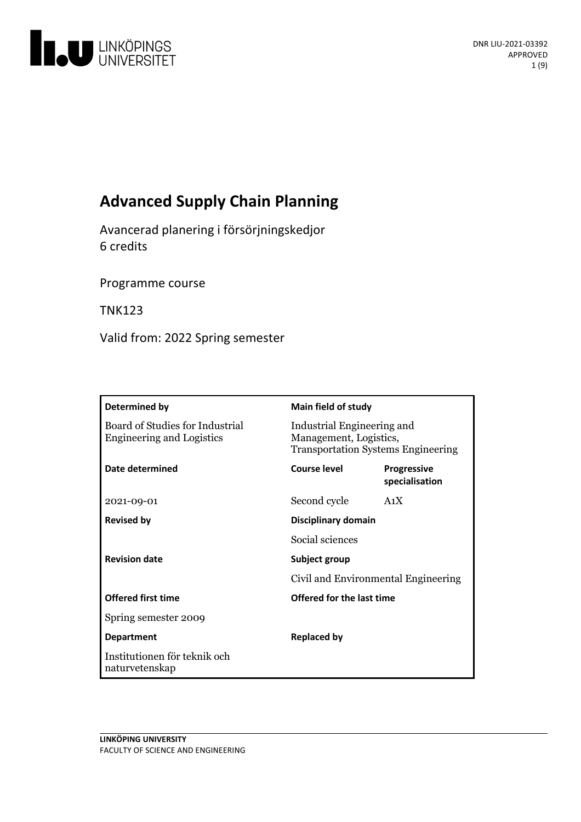

# **Advanced Supply Chain Planning**

Avancerad planeringi försörjningskedjor 6 credits

Programme course

TNK123

Valid from: 2022 Spring semester

| Determined by                                                       | Main field of study                                                                               |                                      |
|---------------------------------------------------------------------|---------------------------------------------------------------------------------------------------|--------------------------------------|
| Board of Studies for Industrial<br><b>Engineering and Logistics</b> | Industrial Engineering and<br>Management, Logistics,<br><b>Transportation Systems Engineering</b> |                                      |
| Date determined                                                     | Course level                                                                                      | <b>Progressive</b><br>specialisation |
| 2021-09-01                                                          | Second cycle                                                                                      | A <sub>1</sub> X                     |
| <b>Revised by</b>                                                   | Disciplinary domain                                                                               |                                      |
|                                                                     | Social sciences                                                                                   |                                      |
| <b>Revision date</b>                                                | Subject group<br>Civil and Environmental Engineering                                              |                                      |
|                                                                     |                                                                                                   |                                      |
| <b>Offered first time</b>                                           | Offered for the last time                                                                         |                                      |
| Spring semester 2009                                                |                                                                                                   |                                      |
| <b>Department</b>                                                   | <b>Replaced by</b>                                                                                |                                      |
| Institutionen för teknik och<br>naturvetenskap                      |                                                                                                   |                                      |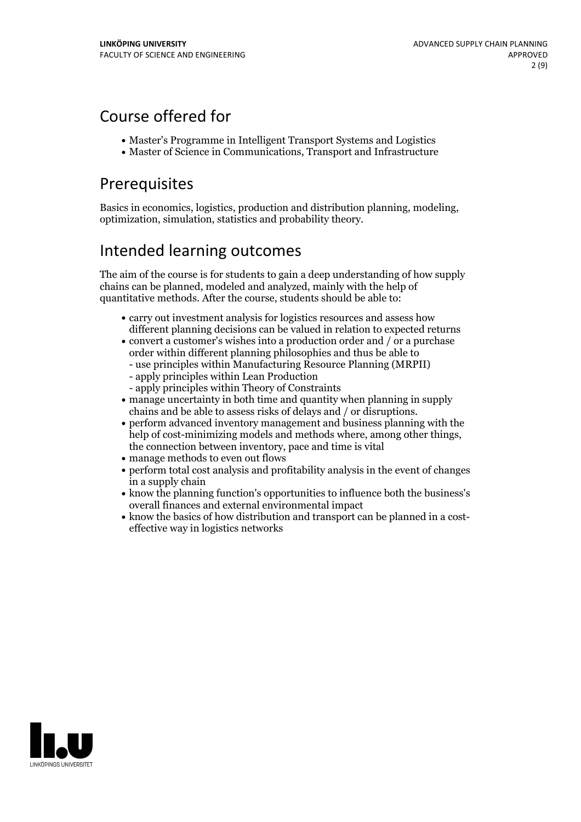# Course offered for

- Master's Programme in Intelligent Transport Systems and Logistics
- Master of Science in Communications, Transport and Infrastructure

## Prerequisites

Basics in economics, logistics, production and distribution planning, modeling, optimization, simulation, statistics and probability theory.

## Intended learning outcomes

The aim of the course is for students to gain a deep understanding of how supply chains can be planned, modeled and analyzed, mainly with the help of quantitative methods. After the course, students should be able to:

- carry out investment analysis for logistics resources and assess how different planning decisions can be valued in relation to expected returns
- $\bullet$  convert a customer's wishes into a production order and / or a purchase order within different planning philosophies and thus be able to
	- use principles within Manufacturing Resource Planning (MRPII)
	- apply principles within Lean Production
	- apply principles within Theory of Constraints
- manage uncertainty in both time and quantity when planning in supply
- $\bullet$  perform advanced inventory management and business planning with the help of cost-minimizing models and methods where, among other things, the connection between inventory, pace and time is vital
- manage methods to even out flows
- perform total cost analysis and profitability analysis in the event of changes in a supply chain
- know the planning function's opportunities to influence both the business's overall finances and external environmental impact
- know the basics of how distribution and transport can be planned in a costeffective way in logistics networks

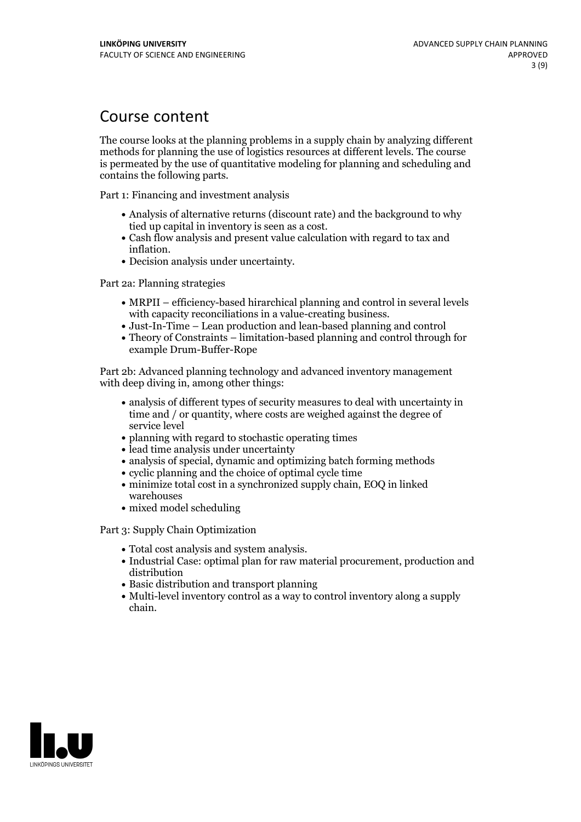## Course content

The course looks at the planning problems in a supply chain by analyzing different methods for planning the use of logistics resources at different levels. The course is permeated by the use of quantitative modeling for planning and scheduling and contains the following parts.

Part 1: Financing and investment analysis

- Analysis of alternative returns (discount rate) and the background to why
- Cash flow analysis and present value calculation with regard to tax and inflation.<br>• Decision analysis under uncertainty.
- 

Part 2a: Planning strategies

- MRPII efficiency-based hirarchical planning and control in several levels with capacity reconciliations in a value-creating business.
- Just-In-Time Lean production and lean-based planning and control
- Theory of Constraints limitation-based planning and control through for example Drum-Buffer-Rope

Part 2b: Advanced planning technology and advanced inventory management with deep diving in, among other things:

- analysis of different types of security measures to deal with uncertainty in time and / or quantity, where costs are weighed against the degree of service level
- planning with regard to stochastic operating times
- lead time analysis under uncertainty
- analysis of special, dynamic and optimizing batch forming methods
- cyclic planning and the choice of optimal cycle time
- $\bullet$  minimize total cost in a synchronized supply chain, EOQ in linked warehouses
- mixed model scheduling

Part 3: Supply Chain Optimization

- 
- Total cost analysis and system analysis. Industrial Case: optimal plan for raw material procurement, production and distribution
- Basic distribution and transport planning
- Multi-level inventory control as a way to control inventory along a supply chain.

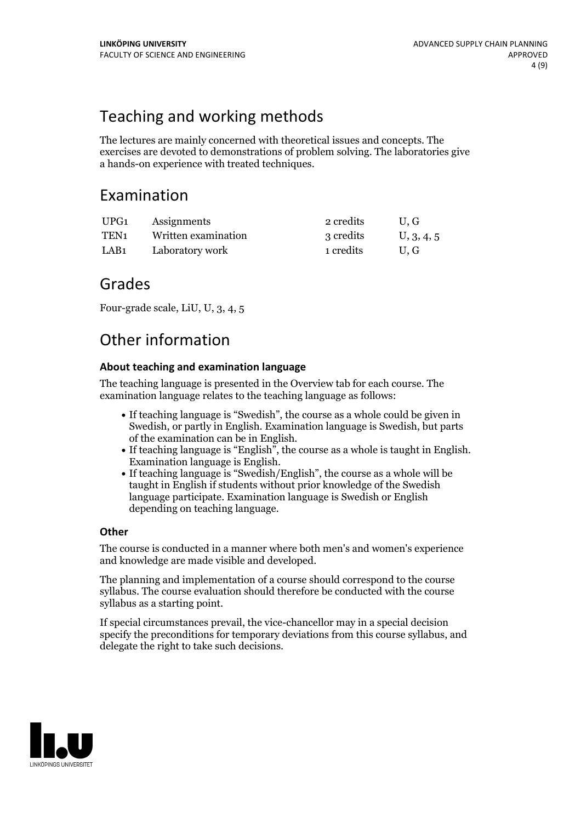# Teaching and working methods

The lectures are mainly concerned with theoretical issues and concepts. The exercises are devoted to demonstrations of problem solving. The laboratories give a hands-on experience with treated techniques.

## Examination

| UPG1 | Assignments         | 2 credits | U.G        |
|------|---------------------|-----------|------------|
| TEN1 | Written examination | 3 credits | U, 3, 4, 5 |
| LAB1 | Laboratory work     | 1 credits | U.G        |

## Grades

Four-grade scale, LiU, U, 3, 4, 5

# Other information

### **About teaching and examination language**

The teaching language is presented in the Overview tab for each course. The examination language relates to the teaching language as follows:

- If teaching language is "Swedish", the course as a whole could be given in Swedish, or partly in English. Examination language is Swedish, but parts
- of the examination can be in English. If teaching language is "English", the course as <sup>a</sup> whole is taught in English. Examination language is English. If teaching language is "Swedish/English", the course as <sup>a</sup> whole will be
- taught in English if students without prior knowledge of the Swedish language participate. Examination language is Swedish or English depending on teaching language.

### **Other**

The course is conducted in a manner where both men's and women's experience and knowledge are made visible and developed.

The planning and implementation of a course should correspond to the course syllabus. The course evaluation should therefore be conducted with the course syllabus as a starting point.

If special circumstances prevail, the vice-chancellor may in a special decision specify the preconditions for temporary deviations from this course syllabus, and delegate the right to take such decisions.

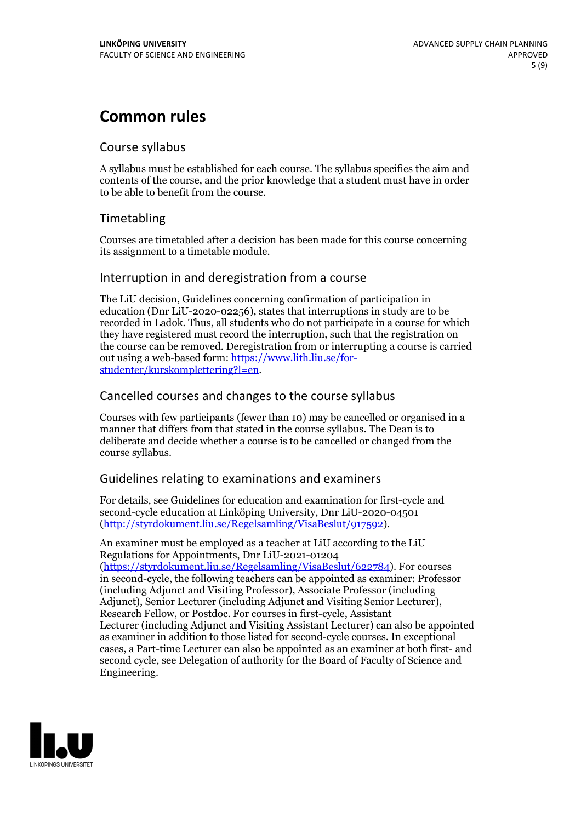## **Common rules**

### Course syllabus

A syllabus must be established for each course. The syllabus specifies the aim and contents of the course, and the prior knowledge that a student must have in order to be able to benefit from the course.

## Timetabling

Courses are timetabled after a decision has been made for this course concerning its assignment to a timetable module.

### Interruption in and deregistration from a course

The LiU decision, Guidelines concerning confirmation of participation in education (Dnr LiU-2020-02256), states that interruptions in study are to be recorded in Ladok. Thus, all students who do not participate in a course for which they have registered must record the interruption, such that the registration on the course can be removed. Deregistration from or interrupting a course is carried out using <sup>a</sup> web-based form: https://www.lith.liu.se/for- [studenter/kurskomplettering?l=en.](https://www.lith.liu.se/for-studenter/kurskomplettering?l=en)

## Cancelled courses and changes to the course syllabus

Courses with few participants (fewer than 10) may be cancelled or organised in a manner that differs from that stated in the course syllabus. The Dean is to deliberate and decide whether a course is to be cancelled or changed from the course syllabus.

## Guidelines relating to examinations and examiners

For details, see Guidelines for education and examination for first-cycle and second-cycle education at Linköping University, Dnr LiU-2020-04501 [\(http://styrdokument.liu.se/Regelsamling/VisaBeslut/917592\)](http://styrdokument.liu.se/Regelsamling/VisaBeslut/917592).

An examiner must be employed as a teacher at LiU according to the LiU Regulations for Appointments, Dnr LiU-2021-01204 [\(https://styrdokument.liu.se/Regelsamling/VisaBeslut/622784](https://styrdokument.liu.se/Regelsamling/VisaBeslut/622784)). For courses in second-cycle, the following teachers can be appointed as examiner: Professor (including Adjunct and Visiting Professor), Associate Professor (including Adjunct), Senior Lecturer (including Adjunct and Visiting Senior Lecturer), Research Fellow, or Postdoc. For courses in first-cycle, Assistant Lecturer (including Adjunct and Visiting Assistant Lecturer) can also be appointed as examiner in addition to those listed for second-cycle courses. In exceptional cases, a Part-time Lecturer can also be appointed as an examiner at both first- and second cycle, see Delegation of authority for the Board of Faculty of Science and Engineering.

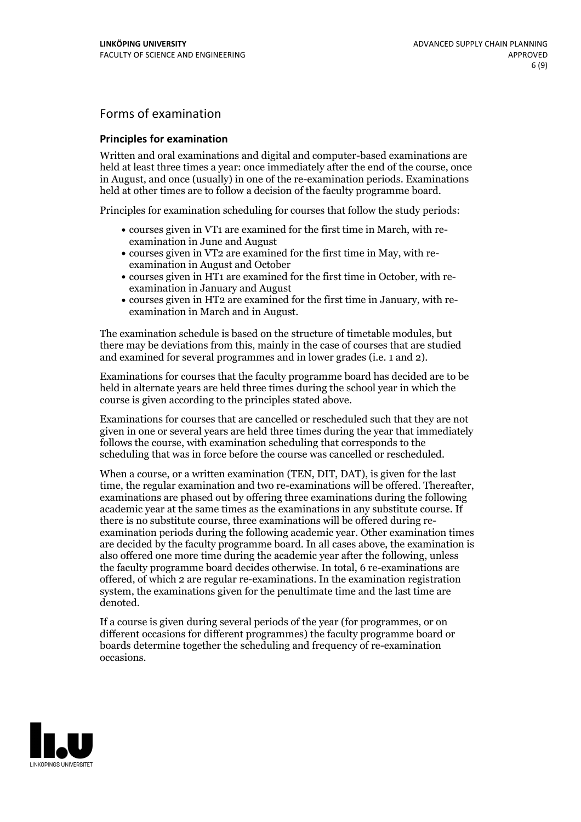## Forms of examination

#### **Principles for examination**

Written and oral examinations and digital and computer-based examinations are held at least three times a year: once immediately after the end of the course, once in August, and once (usually) in one of the re-examination periods. Examinations held at other times are to follow a decision of the faculty programme board.

Principles for examination scheduling for courses that follow the study periods:

- courses given in VT1 are examined for the first time in March, with re-examination in June and August
- courses given in VT2 are examined for the first time in May, with re-examination in August and October
- courses given in HT1 are examined for the first time in October, with re-examination in January and August
- courses given in HT2 are examined for the first time in January, with re-examination in March and in August.

The examination schedule is based on the structure of timetable modules, but there may be deviations from this, mainly in the case of courses that are studied and examined for several programmes and in lower grades (i.e. 1 and 2).

Examinations for courses that the faculty programme board has decided are to be held in alternate years are held three times during the school year in which the course is given according to the principles stated above.

Examinations for courses that are cancelled orrescheduled such that they are not given in one or several years are held three times during the year that immediately follows the course, with examination scheduling that corresponds to the scheduling that was in force before the course was cancelled or rescheduled.

When a course, or a written examination (TEN, DIT, DAT), is given for the last time, the regular examination and two re-examinations will be offered. Thereafter, examinations are phased out by offering three examinations during the following academic year at the same times as the examinations in any substitute course. If there is no substitute course, three examinations will be offered during re- examination periods during the following academic year. Other examination times are decided by the faculty programme board. In all cases above, the examination is also offered one more time during the academic year after the following, unless the faculty programme board decides otherwise. In total, 6 re-examinations are offered, of which 2 are regular re-examinations. In the examination registration system, the examinations given for the penultimate time and the last time are denoted.

If a course is given during several periods of the year (for programmes, or on different occasions for different programmes) the faculty programme board or boards determine together the scheduling and frequency of re-examination occasions.

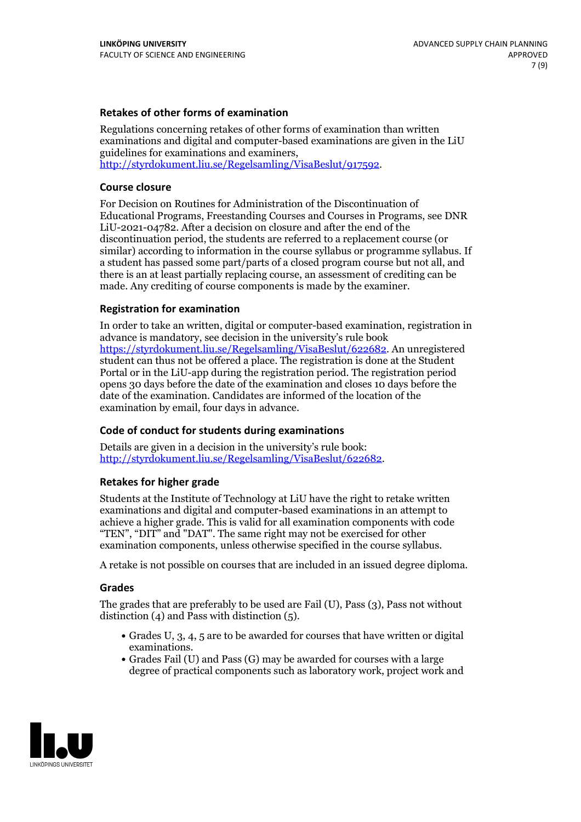#### **Retakes of other forms of examination**

Regulations concerning retakes of other forms of examination than written examinations and digital and computer-based examinations are given in the LiU guidelines for examinations and examiners, [http://styrdokument.liu.se/Regelsamling/VisaBeslut/917592.](http://styrdokument.liu.se/Regelsamling/VisaBeslut/917592)

#### **Course closure**

For Decision on Routines for Administration of the Discontinuation of Educational Programs, Freestanding Courses and Courses in Programs, see DNR LiU-2021-04782. After a decision on closure and after the end of the discontinuation period, the students are referred to a replacement course (or similar) according to information in the course syllabus or programme syllabus. If a student has passed some part/parts of a closed program course but not all, and there is an at least partially replacing course, an assessment of crediting can be made. Any crediting of course components is made by the examiner.

#### **Registration for examination**

In order to take an written, digital or computer-based examination, registration in advance is mandatory, see decision in the university's rule book [https://styrdokument.liu.se/Regelsamling/VisaBeslut/622682.](https://styrdokument.liu.se/Regelsamling/VisaBeslut/622682) An unregistered student can thus not be offered a place. The registration is done at the Student Portal or in the LiU-app during the registration period. The registration period opens 30 days before the date of the examination and closes 10 days before the date of the examination. Candidates are informed of the location of the examination by email, four days in advance.

### **Code of conduct for students during examinations**

Details are given in a decision in the university's rule book: <http://styrdokument.liu.se/Regelsamling/VisaBeslut/622682>.

#### **Retakes for higher grade**

Students at the Institute of Technology at LiU have the right to retake written examinations and digital and computer-based examinations in an attempt to achieve a higher grade. This is valid for all examination components with code "TEN", "DIT" and "DAT". The same right may not be exercised for other examination components, unless otherwise specified in the course syllabus.

A retake is not possible on courses that are included in an issued degree diploma.

#### **Grades**

The grades that are preferably to be used are Fail (U), Pass (3), Pass not without distinction  $(4)$  and Pass with distinction  $(5)$ .

- Grades U, 3, 4, 5 are to be awarded for courses that have written or digital examinations.<br>• Grades Fail (U) and Pass (G) may be awarded for courses with a large
- degree of practical components such as laboratory work, project work and

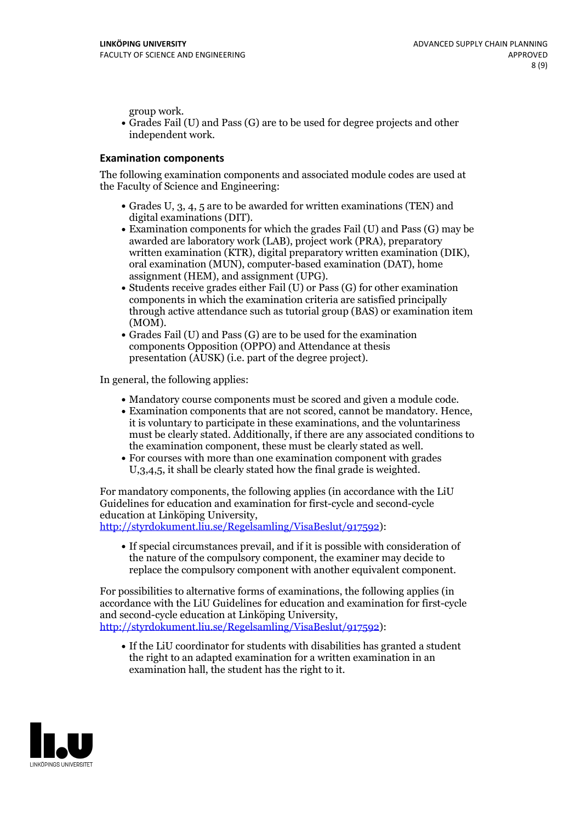group work.<br>• Grades Fail (U) and Pass (G) are to be used for degree projects and other independent work.

#### **Examination components**

The following examination components and associated module codes are used at the Faculty of Science and Engineering:

- Grades U, 3, 4, 5 are to be awarded for written examinations (TEN) and
- digital examinations (DIT).<br>• Examination components for which the grades Fail (U) and Pass (G) may be awarded are laboratory work (LAB), project work (PRA), preparatory written examination (KTR), digital preparatory written examination (DIK), oral examination (MUN), computer-based examination (DAT), home
- assignment (HEM), and assignment (UPG).<br>• Students receive grades either Fail (U) or Pass (G) for other examination components in which the examination criteria are satisfied principally through active attendance such as tutorial group (BAS) or examination item
- (MOM).<br>• Grades Fail (U) and Pass (G) are to be used for the examination components Opposition (OPPO) and Attendance at thesis presentation (AUSK) (i.e. part of the degree project).

In general, the following applies:

- 
- Mandatory course components must be scored and given <sup>a</sup> module code. Examination components that are not scored, cannot be mandatory. Hence, it is voluntary to participate in these examinations, and the voluntariness must be clearly stated. Additionally, if there are any associated conditions to
- the examination component, these must be clearly stated as well.<br>• For courses with more than one examination component with grades U,3,4,5, it shall be clearly stated how the final grade is weighted.

For mandatory components, the following applies (in accordance with the LiU Guidelines for education and examination for first-cycle and second-cycle education at Linköping University,<br>[http://styrdokument.liu.se/Regelsamling/VisaBeslut/917592\)](http://styrdokument.liu.se/Regelsamling/VisaBeslut/917592):

If special circumstances prevail, and if it is possible with consideration of the nature of the compulsory component, the examiner may decide to replace the compulsory component with another equivalent component.

For possibilities to alternative forms of examinations, the following applies (in accordance with the LiU Guidelines for education and examination for first-cycle [http://styrdokument.liu.se/Regelsamling/VisaBeslut/917592\)](http://styrdokument.liu.se/Regelsamling/VisaBeslut/917592):

If the LiU coordinator for students with disabilities has granted a student the right to an adapted examination for a written examination in an examination hall, the student has the right to it.